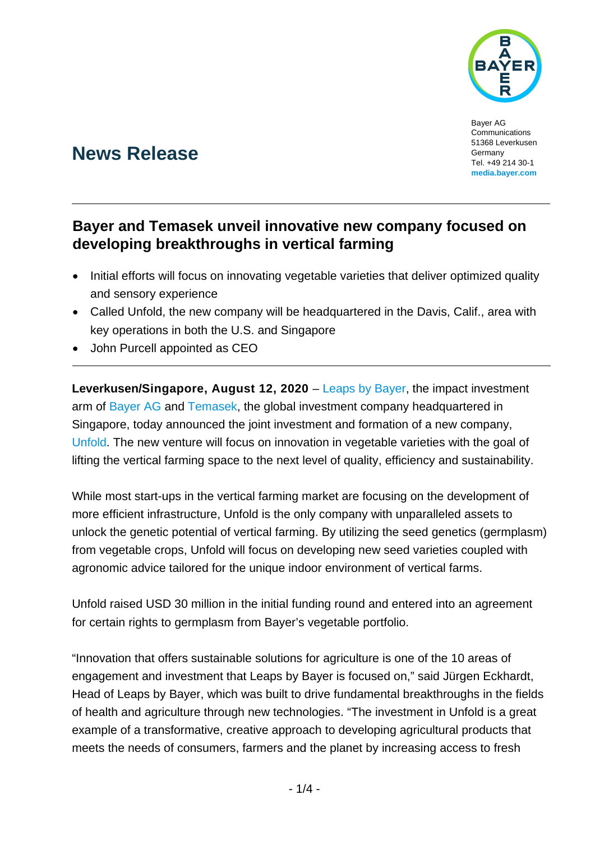

Bayer AG Communications 51368 Leverkusen Germany Tel. +49 214 30-1 **[media.bayer.com](http://media.bayer.de/)**

# **News Release**

## **Bayer and Temasek unveil innovative new company focused on developing breakthroughs in vertical farming**

- Initial efforts will focus on innovating vegetable varieties that deliver optimized quality and sensory experience
- Called Unfold, the new company will be headquartered in the Davis, Calif., area with key operations in both the U.S. and Singapore
- John Purcell appointed as CEO

**Leverkusen/Singapore, August 12, 2020** – [Leaps by Bayer,](https://leaps.bayer.com/) the impact investment arm of [Bayer AG](http://www.bayer.com/) and [Temasek,](https://www.temasek.com.sg/en/index) the global investment company headquartered in Singapore, today announced the joint investment and formation of a new company, [Unfold.](http://www.unfold.ag/) The new venture will focus on innovation in vegetable varieties with the goal of lifting the vertical farming space to the next level of quality, efficiency and sustainability.

While most start-ups in the vertical farming market are focusing on the development of more efficient infrastructure, Unfold is the only company with unparalleled assets to unlock the genetic potential of vertical farming. By utilizing the seed genetics (germplasm) from vegetable crops, Unfold will focus on developing new seed varieties coupled with agronomic advice tailored for the unique indoor environment of vertical farms.

Unfold raised USD 30 million in the initial funding round and entered into an agreement for certain rights to germplasm from Bayer's vegetable portfolio.

"Innovation that offers sustainable solutions for agriculture is one of the 10 areas of engagement and investment that Leaps by Bayer is focused on," said Jürgen Eckhardt, Head of Leaps by Bayer, which was built to drive fundamental breakthroughs in the fields of health and agriculture through new technologies. "The investment in Unfold is a great example of a transformative, creative approach to developing agricultural products that meets the needs of consumers, farmers and the planet by increasing access to fresh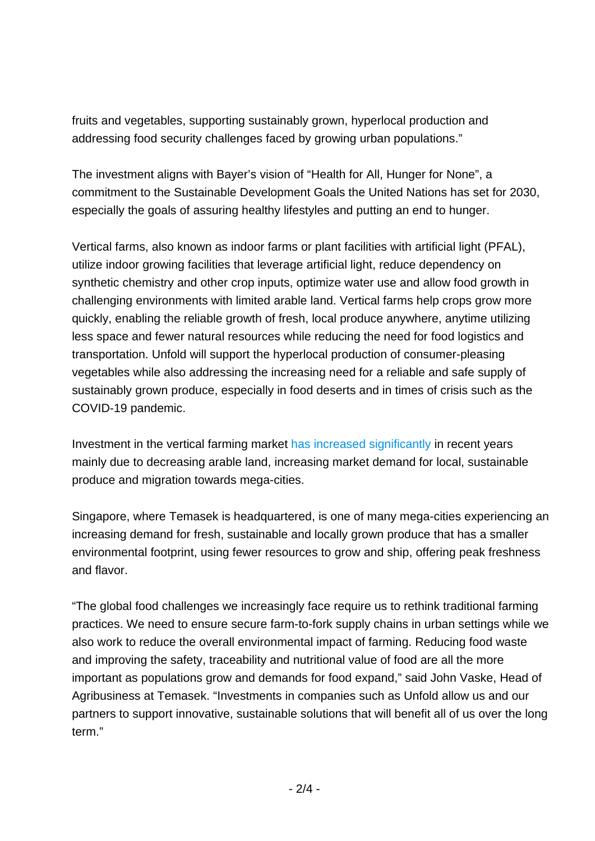fruits and vegetables, supporting sustainably grown, hyperlocal production and addressing food security challenges faced by growing urban populations."

The investment aligns with Bayer's vision of "Health for All, Hunger for None", a commitment to the Sustainable Development Goals the United Nations has set for 2030, especially the goals of assuring healthy lifestyles and putting an end to hunger.

Vertical farms, also known as indoor farms or plant facilities with artificial light (PFAL), utilize indoor growing facilities that leverage artificial light, reduce dependency on synthetic chemistry and other crop inputs, optimize water use and allow food growth in challenging environments with limited arable land. Vertical farms help crops grow more quickly, enabling the reliable growth of fresh, local produce anywhere, anytime utilizing less space and fewer natural resources while reducing the need for food logistics and transportation. Unfold will support the hyperlocal production of consumer-pleasing vegetables while also addressing the increasing need for a reliable and safe supply of sustainably grown produce, especially in food deserts and in times of crisis such as the COVID-19 pandemic.

Investment in the vertical farming market [has increased significantly](https://www.fortunebusinessinsights.com/industry-reports/vertical-farming-market-101958) in recent years mainly due to decreasing arable land, increasing market demand for local, sustainable produce and migration towards mega-cities.

Singapore, where Temasek is headquartered, is one of many mega-cities experiencing an increasing demand for fresh, sustainable and locally grown produce that has a smaller environmental footprint, using fewer resources to grow and ship, offering peak freshness and flavor.

"The global food challenges we increasingly face require us to rethink traditional farming practices. We need to ensure secure farm-to-fork supply chains in urban settings while we also work to reduce the overall environmental impact of farming. Reducing food waste and improving the safety, traceability and nutritional value of food are all the more important as populations grow and demands for food expand," said John Vaske, Head of Agribusiness at Temasek. "Investments in companies such as Unfold allow us and our partners to support innovative, sustainable solutions that will benefit all of us over the long term."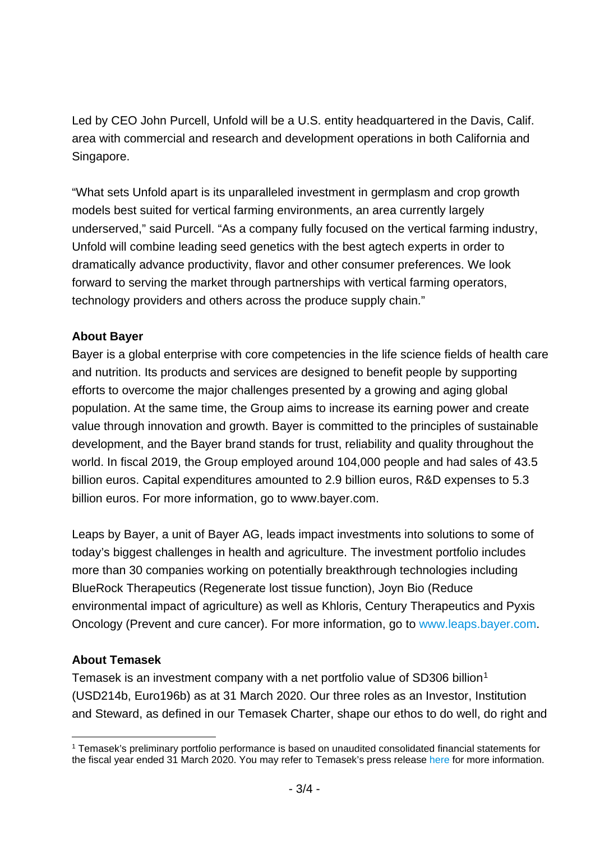Led by CEO John Purcell, Unfold will be a U.S. entity headquartered in the Davis, Calif. area with commercial and research and development operations in both California and Singapore.

"What sets Unfold apart is its unparalleled investment in germplasm and crop growth models best suited for vertical farming environments, an area currently largely underserved," said Purcell. "As a company fully focused on the vertical farming industry, Unfold will combine leading seed genetics with the best agtech experts in order to dramatically advance productivity, flavor and other consumer preferences. We look forward to serving the market through partnerships with vertical farming operators, technology providers and others across the produce supply chain."

### **About Bayer**

Bayer is a global enterprise with core competencies in the life science fields of health care and nutrition. Its products and services are designed to benefit people by supporting efforts to overcome the major challenges presented by a growing and aging global population. At the same time, the Group aims to increase its earning power and create value through innovation and growth. Bayer is committed to the principles of sustainable development, and the Bayer brand stands for trust, reliability and quality throughout the world. In fiscal 2019, the Group employed around 104,000 people and had sales of 43.5 billion euros. Capital expenditures amounted to 2.9 billion euros, R&D expenses to 5.3 billion euros. For more information, go to [www.bayer.com.](http://www.bayer.com/)

Leaps by Bayer, a unit of Bayer AG, leads impact investments into solutions to some of today's biggest challenges in health and agriculture. The investment portfolio includes more than 30 companies working on potentially breakthrough technologies including BlueRock Therapeutics (Regenerate lost tissue function), Joyn Bio (Reduce environmental impact of agriculture) as well as Khloris, Century Therapeutics and Pyxis Oncology (Prevent and cure cancer). For more information, go to [www.leaps.bayer.com.](http://www.leaps.bayer.com/)

#### **About Temasek**

Temasek is an investment company with a net portfolio value of SD306 billion<sup>[1](#page-2-0)</sup> (USD214b, Euro196b) as at 31 March 2020. Our three roles as an Investor, Institution and Steward, as defined in our Temasek Charter, shape our ethos to do well, do right and

<span id="page-2-0"></span> <sup>1</sup> Temasek's preliminary portfolio performance is based on unaudited consolidated financial statements for the fiscal year ended 31 March 2020. You may refer to Temasek's press release [here](https://www.temasek.com.sg/en/news-and-views/news-room/news/2020/a-resilient-portfolio-amidst-the-covid-19-pandemic) for more information.